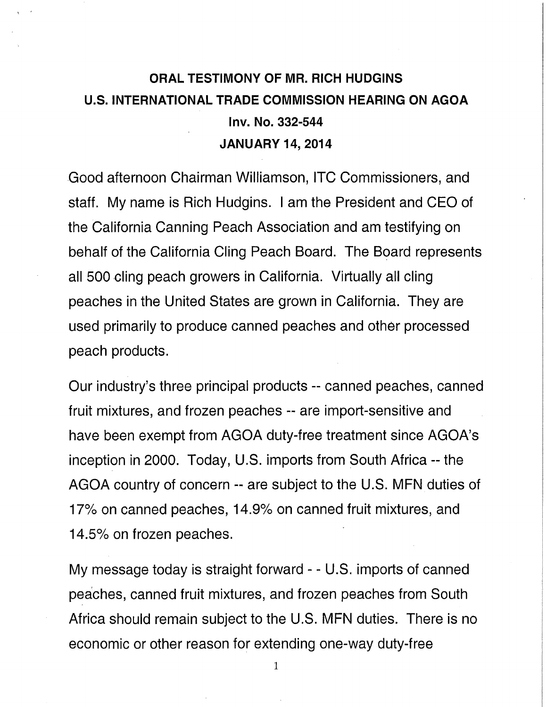## **ORAL TESTIMONY OF MR. RICH HUDGINS U.S. INTERNATIONAL TRADE COMMISSION HEARING ON AGOA Inv. No. 332-544 JANUARY 14, 2014**

Good afternoon Chairman Williamson, ITC Commissioners, and staff. My name is Rich Hudgins. I am the President and CEO of the California Canning Peach Association and am testifying on behalf of the California Cling Peach Board. The Board represents all 500 cling peach growers in California. Virtually all cling peaches in the United States are grown in California. They are used primarily to produce canned peaches and other processed peach products.

Our industry's three principal products -- canned peaches, canned fruit mixtures, and frozen peaches -- are import-sensitive and have been exempt from AGOA duty-free treatment since AGOA's inception in 2000. Today, U.S. imports from South Africa -- the AGOA country of concern -- are subject to the U.S. MFN duties of 17% on canned peaches, 14.9% on canned fruit mixtures, and 14.5% on frozen peaches.

My message today is straight forward - - U.S. imports of canned peaches, canned fruit mixtures, and frozen peaches from South Africa should remain subject to the U.S. MFN duties. There is no economic or other reason for extending one-way duty-free

**I**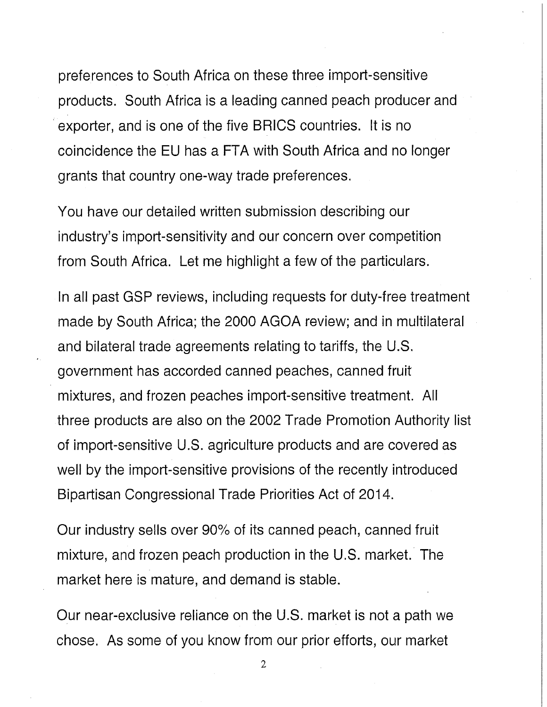preferences to South Africa on these three import-sensitive products. South Africa is a leading canned peach producer and exporter, and is one of the five BRICS countries. It is no coincidence the EU has a FTA with South Africa and no longer grants that country one-way trade preferences.

You have our detailed written submission describing our industry's import-sensitivity and our concern over competition from South Africa. Let me highlight a few of the particulars.

In all past GSP reviews, including requests for duty-free treatment made by South Africa; the 2000 AGOA review; and in multilateral and bilateral trade agreements relating to tariffs, the U.S. government has accorded canned peaches, canned fruit mixtures, and frozen peaches import-sensitive treatment. All three products are also on the 2002 Trade Promotion Authority list of import-sensitive U.S. agriculture products and are covered as well by the import-sensitive provisions of the recently introduced Bipartisan Congressional Trade Priorities Act of 2014.

Our industry sells over 90% of its canned peach, canned fruit mixture, and frozen peach production in the U.S. market. The market here is mature, and demand is stable.

Our near-exclusive reliance on the U.S. market is not a path we chose. As some of you know from our prior efforts, our market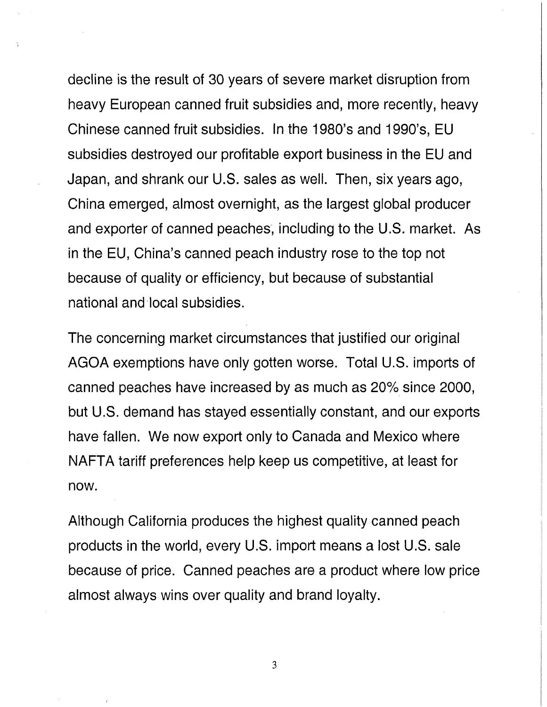decline is the result of 30 years of severe market disruption from heavy European canned fruit subsidies and, more recently, heavy Chinese canned fruit subsidies. In the 1980's and 1990's, EU subsidies destroyed our profitable export business in the EU and Japan, and shrank our U.S. sales as well. Then, six years ago, China emerged, almost overnight, as the largest global producer and exporter of canned peaches, including to the U.S. market. As in the EU, China's canned peach industry rose to the top not because of quality or efficiency, but because of substantial national and local subsidies.

The concerning market circumstances that justified our original AGOA exemptions have only gotten worse. Total U.S. imports of canned peaches have increased by as much as 20% since 2000, but U.S. demand has stayed essentially constant, and our exports have fallen. We now export only to Canada and Mexico where NAFTA tariff preferences help keep us competitive, at least for now.

Although California produces the highest quality canned peach products in the world, every U.S. import means a lost U.S. sale because of price. Canned peaches are a product where low price almost always wins over quality and brand loyalty.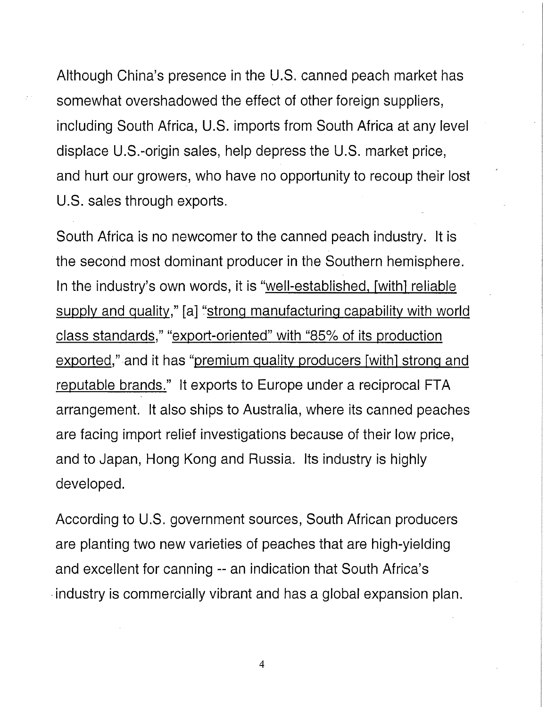Although China's presence in the U.S. canned peach market has somewhat overshadowed the effect of other foreign suppliers, including South Africa, U.S. imports from South Africa at any level displace U.S.-origin sales, help depress the U.S. market price, and hurt our growers, who have no opportunity to recoup their lost U.S. sales through exports.

South Africa is no newcomer to the canned peach industry. It is the second most dominant producer in the Southern hemisphere. In the industry's own words, it is "well-established, Fwithl reliable supply and quality," [a] "strong manufacturing capability with world class standards," "export-oriented" with "85% of its production exported," and it has "premium quality producers [with] strong and reputable brands." It exports to Europe under a reciprocal FTA arrangement. It also ships to Australia, where its canned peaches are facing import relief investigations because of their low price, and to Japan, Hong Kong and Russia. Its industry is highly developed.

According to U.S. government sources, South African producers are planting two new varieties of peaches that are high-yielding and excellent for canning -- an indication that South Africa's industry is commercially vibrant and has a global expansion plan.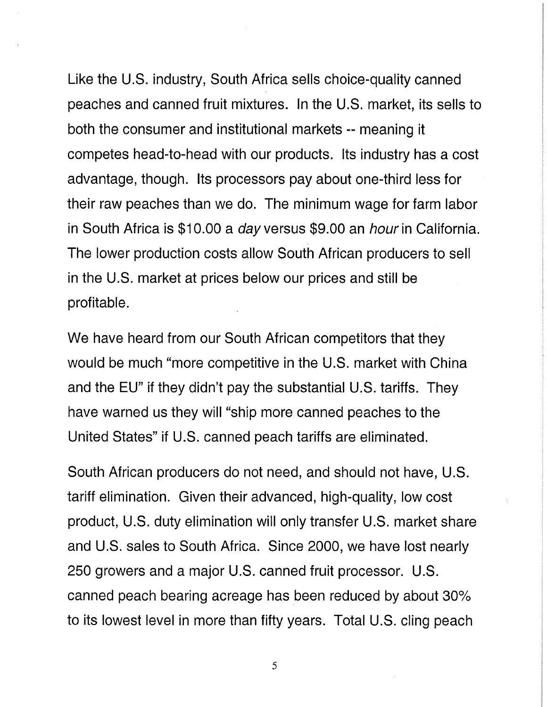Like the U.S. industry, South Africa sells choice-quality canned peaches and canned fruit mixtures. In the U.S. market, its sells to both the consumer and institutional markets -- meaning it competes head-to-head with our products. Its industry has a cost advantage, though. Its processors pay about one-third less for their raw peaches than we do. The minimum wage for farm labor in South Africa is \$10.00 a *day* versus \$9.00 an *hour* in California. The lower production costs allow South African producers to sell in the U.S. market at prices below our prices and still be profitable.

We have heard from our South African competitors that they would be much "more competitive in the U.S. market with China and the EU" if they didn't pay the substantial U.S. tariffs. They have warned us they will "ship more canned peaches to the United States" if U.S. canned peach tariffs are eliminated.

South African producers do not need, and should not have, U.S. tariff elimination. Given their advanced, high-quality, low cost product, U.S. duty elimination will only transfer U.S. market share and U.S. sales to South Africa. Since 2000, we have lost nearly 250 growers and a major U.S. canned fruit processor. U.S. canned peach bearing acreage has been reduced by about 30% to its lowest level in more than fifty years. Total U.S. cling peach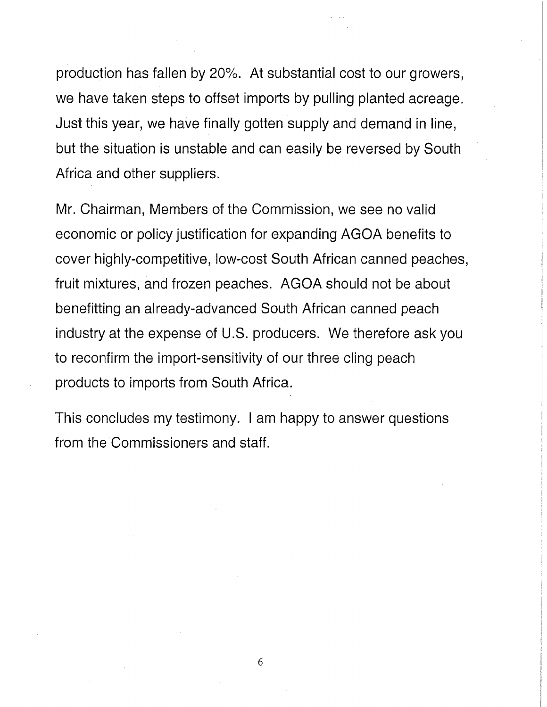production has fallen by 20%. At substantial cost to our growers, we have taken steps to offset imports by pulling planted acreage. Just this year, we have finally gotten supply and demand in line, but the situation is unstable and can easily be reversed by South Africa and other suppliers.

Mr. Chairman, Members of the Commission, we see no valid economic or policy justification for expanding AGOA benefits to cover highly-competitive, low-cost South African canned peaches, fruit mixtures, and frozen peaches. AGOA should not be about benefitting an already-advanced South African canned peach industry at the expense of U.S. producers. We therefore ask you to reconfirm the import-sensitivity of our three cling peach products to imports from South Africa.

This concludes my testimony. I am happy to answer questions from the Commissioners and staff.